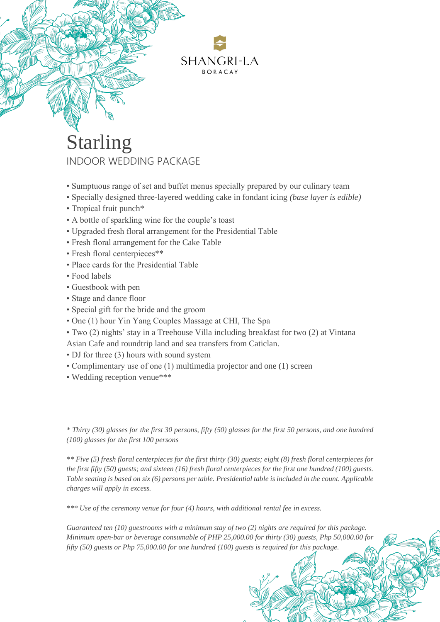

## Starling INDOOR WEDDING PACKAGE

- Sumptuous range of set and buffet menus specially prepared by our culinary team
- Specially designed three-layered wedding cake in fondant icing *(base layer is edible)*
- Tropical fruit punch\*
- A bottle of sparkling wine for the couple's toast
- Upgraded fresh floral arrangement for the Presidential Table
- Fresh floral arrangement for the Cake Table
- Fresh floral centerpieces\*\*
- Place cards for the Presidential Table
- Food labels
- Guestbook with pen
- Stage and dance floor
- Special gift for the bride and the groom
- One (1) hour Yin Yang Couples Massage at CHI, The Spa
- Two (2) nights' stay in a Treehouse Villa including breakfast for two (2) at Vintana
- Asian Cafe and roundtrip land and sea transfers from Caticlan.
- DJ for three (3) hours with sound system
- Complimentary use of one (1) multimedia projector and one (1) screen
- Wedding reception venue\*\*\*

*\* Thirty (30) glasses for the first 30 persons, fifty (50) glasses for the first 50 persons, and one hundred (100) glasses for the first 100 persons*

*\*\* Five (5) fresh floral centerpieces for the first thirty (30) guests; eight (8) fresh floral centerpieces for the first fifty (50) guests; and sixteen (16) fresh floral centerpieces for the first one hundred (100) guests. Table seating is based on six (6) persons per table. Presidential table is included in the count. Applicable charges will apply in excess.*

*\*\*\* Use of the ceremony venue for four (4) hours, with additional rental fee in excess.* 

*Guaranteed ten (10) guestrooms with a minimum stay of two (2) nights are required for this package. Minimum open-bar or beverage consumable of PHP 25,000.00 for thirty (30) guests, Php 50,000.00 for fifty (50) guests or Php 75,000.00 for one hundred (100) guests is required for this package.*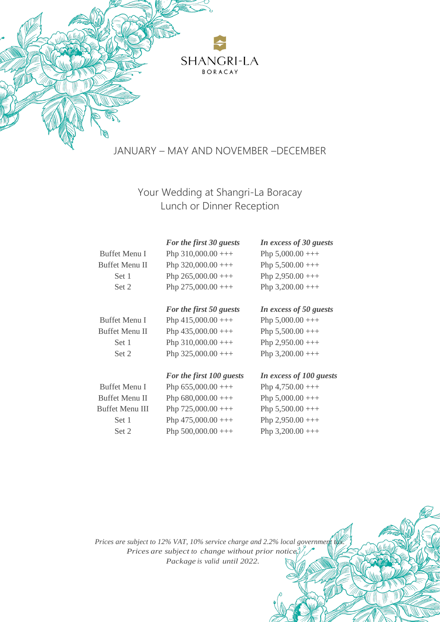

### JANUARY – MAY AND NOVEMBER –DECEMBER

Your Wedding at Shangri-La Boracay Lunch or Dinner Reception

|                 | For the first 30 guests  | In excess of 30 guests  |
|-----------------|--------------------------|-------------------------|
| Buffet Menu I   | Php $310,000.00$ +++     | Php $5,000.00$ +++      |
| Buffet Menu II  | Php $320,000.00$ +++     | Php $5,500.00$ +++      |
| Set 1           | Php $265,000.00$ +++     | Php $2,950.00$ +++      |
| Set 2           | Php $275,000.00$ +++     | Php $3,200.00$ +++      |
|                 | For the first 50 guests  | In excess of 50 guests  |
| Buffet Menu I   | Php $415,000.00$ +++     | Php $5,000.00$ +++      |
| Buffet Menu II  | Php $435,000.00$ +++     | Php $5,500.00$ +++      |
| Set 1           | Php $310,000.00$ +++     | Php $2,950.00$ +++      |
| Set 2           | Php $325,000.00$ +++     | Php $3,200.00$ +++      |
|                 | For the first 100 guests | In excess of 100 guests |
| Buffet Menu I   | Php $655,000.00$ +++     | Php $4,750.00$ +++      |
| Buffet Menu II  | Php $680,000.00$ +++     | Php $5,000.00$ +++      |
| Buffet Menu III | Php $725,000.00$ +++     | Php $5,500.00$ +++      |
| Set 1           | Php $475,000.00$ +++     | Php $2,950.00$ +++      |
| Set 2           | Php $500,000.00$ +++     | Php $3,200.00$ +++      |
|                 |                          |                         |

*Prices are subject to 12% VAT, 10% service charge and 2.2% local government tax. Prices are subject to change without prior notice. Package is valid until 2022.*